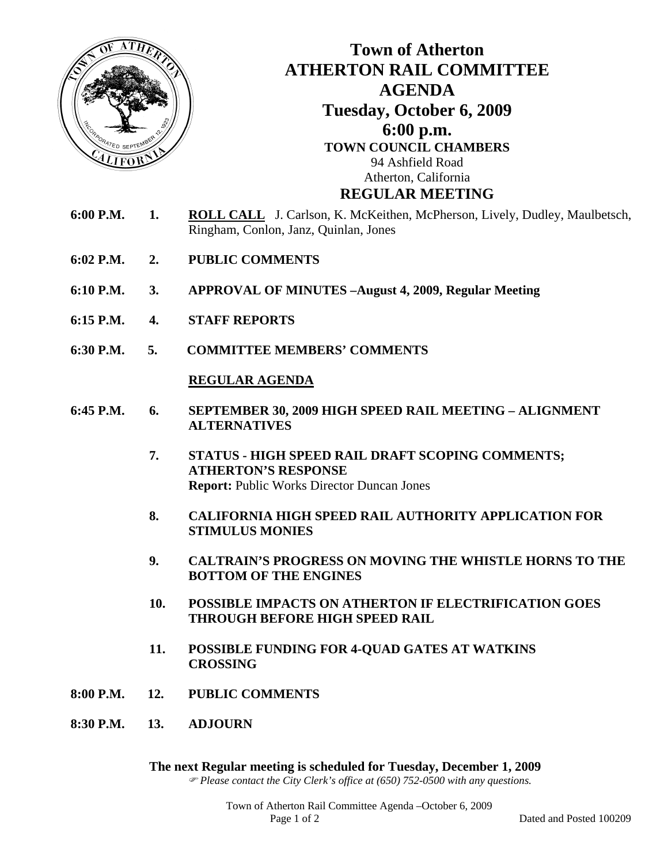

- **6:15 P.M. 4. STAFF REPORTS**
- **6:30 P.M. 5. COMMITTEE MEMBERS' COMMENTS**

## **REGULAR AGENDA**

- **6:45 P.M. 6. SEPTEMBER 30, 2009 HIGH SPEED RAIL MEETING ALIGNMENT ALTERNATIVES**
	- **7. STATUS HIGH SPEED RAIL DRAFT SCOPING COMMENTS; ATHERTON'S RESPONSE Report:** Public Works Director Duncan Jones
	- **8. CALIFORNIA HIGH SPEED RAIL AUTHORITY APPLICATION FOR STIMULUS MONIES**
	- **9. CALTRAIN'S PROGRESS ON MOVING THE WHISTLE HORNS TO THE BOTTOM OF THE ENGINES**
	- **10. POSSIBLE IMPACTS ON ATHERTON IF ELECTRIFICATION GOES THROUGH BEFORE HIGH SPEED RAIL**
	- **11. POSSIBLE FUNDING FOR 4-QUAD GATES AT WATKINS CROSSING**
- **8:00 P.M. 12. PUBLIC COMMENTS**
- **8:30 P.M. 13. ADJOURN**

**The next Regular meeting is scheduled for Tuesday, December 1, 2009** ) *Please contact the City Clerk's office at (650) 752-0500 with any questions.*